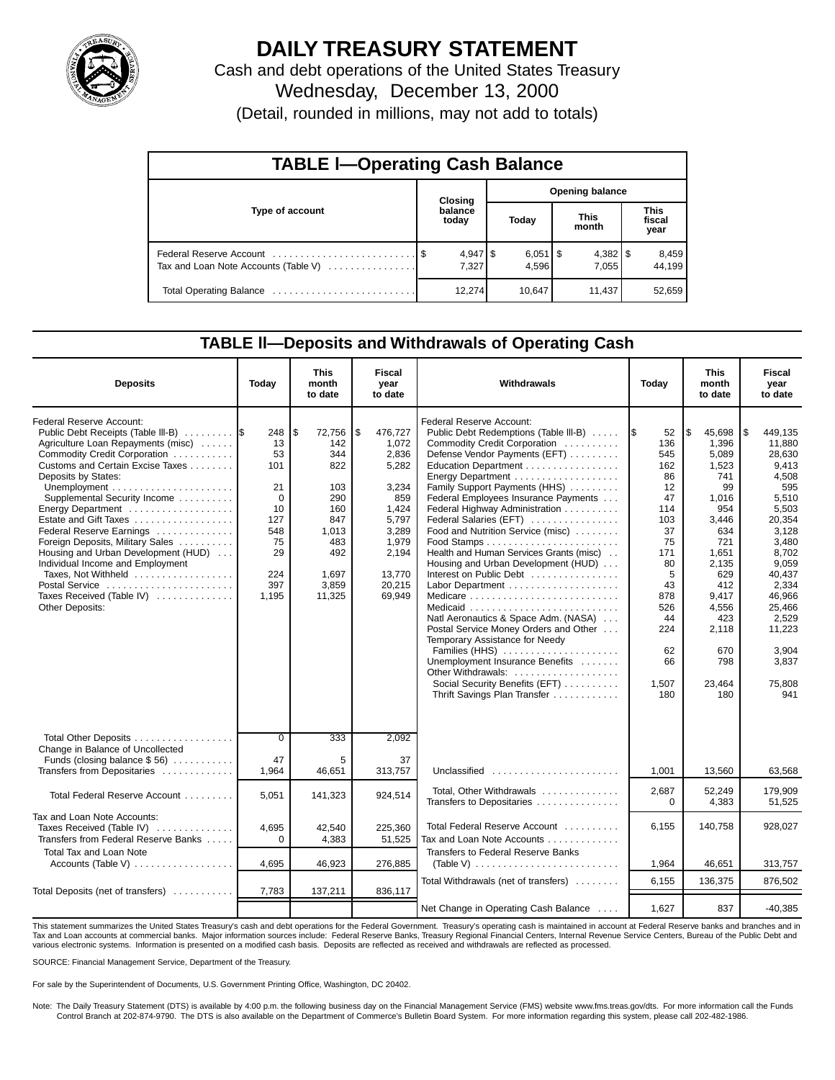

## **DAILY TREASURY STATEMENT**

Cash and debt operations of the United States Treasury Wednesday, December 13, 2000

(Detail, rounded in millions, may not add to totals)

| <b>TABLE I-Operating Cash Balance</b> |  |                  |  |                                |  |                       |  |                        |  |  |
|---------------------------------------|--|------------------|--|--------------------------------|--|-----------------------|--|------------------------|--|--|
|                                       |  | Closing          |  | Opening balance                |  |                       |  |                        |  |  |
| Type of account                       |  | balance<br>today |  | Today                          |  | <b>This</b><br>month  |  | This<br>fiscal<br>year |  |  |
| Tax and Loan Note Accounts (Table V)  |  | 7.327            |  | $6,051$ $\frac{6}{3}$<br>4.596 |  | $4,382$   \$<br>7.055 |  | 8,459<br>44.199        |  |  |
|                                       |  | 12,274           |  | 10.647                         |  | 11.437                |  | 52,659                 |  |  |

### **TABLE ll—Deposits and Withdrawals of Operating Cash**

| <b>Deposits</b>                                                                                                                                                                                                                                                                                                                                                                                                                                                                                            | Today                                                                                           | <b>This</b><br>month<br>to date                                                                                  | <b>Fiscal</b><br>year<br>to date                                                                                                    | Withdrawals                                                                                                                                                                                                                                                                                                                                                                                                                                                                                                                                                                                                                                                                                                                                   | Today                                                                                                                                                     | <b>This</b><br>month<br>to date                                                                                                                                                             | Fiscal<br>year<br>to date                                                                                                                                                                                               |
|------------------------------------------------------------------------------------------------------------------------------------------------------------------------------------------------------------------------------------------------------------------------------------------------------------------------------------------------------------------------------------------------------------------------------------------------------------------------------------------------------------|-------------------------------------------------------------------------------------------------|------------------------------------------------------------------------------------------------------------------|-------------------------------------------------------------------------------------------------------------------------------------|-----------------------------------------------------------------------------------------------------------------------------------------------------------------------------------------------------------------------------------------------------------------------------------------------------------------------------------------------------------------------------------------------------------------------------------------------------------------------------------------------------------------------------------------------------------------------------------------------------------------------------------------------------------------------------------------------------------------------------------------------|-----------------------------------------------------------------------------------------------------------------------------------------------------------|---------------------------------------------------------------------------------------------------------------------------------------------------------------------------------------------|-------------------------------------------------------------------------------------------------------------------------------------------------------------------------------------------------------------------------|
| <b>Federal Reserve Account:</b><br>Public Debt Receipts (Table III-B)<br>Agriculture Loan Repayments (misc)<br>Commodity Credit Corporation<br>Customs and Certain Excise Taxes<br>Deposits by States:<br>Supplemental Security Income<br>Estate and Gift Taxes<br>Federal Reserve Earnings<br>Foreign Deposits, Military Sales<br>Housing and Urban Development (HUD)<br>Individual Income and Employment<br>Taxes, Not Withheld<br>Postal Service<br>Taxes Received (Table IV)<br><b>Other Deposits:</b> | 248<br>13<br>53<br>101<br>21<br>$\Omega$<br>10<br>127<br>548<br>75<br>29<br>224<br>397<br>1.195 | \$<br>72,756<br>142<br>344<br>822<br>103<br>290<br>160<br>847<br>1,013<br>483<br>492<br>1.697<br>3,859<br>11,325 | \$<br>476,727<br>1,072<br>2,836<br>5,282<br>3,234<br>859<br>1,424<br>5,797<br>3,289<br>1,979<br>2,194<br>13,770<br>20,215<br>69.949 | <b>Federal Reserve Account:</b><br>Public Debt Redemptions (Table III-B)<br>Commodity Credit Corporation<br>Defense Vendor Payments (EFT)<br>Education Department<br>Energy Department<br>Family Support Payments (HHS)<br>Federal Employees Insurance Payments<br>Federal Highway Administration<br>Federal Salaries (EFT)<br>Food and Nutrition Service (misc)<br>Health and Human Services Grants (misc)<br>Housing and Urban Development (HUD)<br>Interest on Public Debt<br>Natl Aeronautics & Space Adm. (NASA)<br>Postal Service Money Orders and Other<br>Temporary Assistance for Needy<br>Families (HHS)<br>Unemployment Insurance Benefits<br>Other Withdrawals:<br>Social Security Benefits (EFT)<br>Thrift Savings Plan Transfer | 52<br>1\$<br>136<br>545<br>162<br>86<br>12<br>47<br>114<br>103<br>37<br>75<br>171<br>80<br>5<br>43<br>878<br>526<br>44<br>224<br>62<br>66<br>1,507<br>180 | 5<br>45,698<br>1.396<br>5.089<br>1.523<br>741<br>99<br>1,016<br>954<br>3,446<br>634<br>721<br>1,651<br>2.135<br>629<br>412<br>9.417<br>4,556<br>423<br>2,118<br>670<br>798<br>23,464<br>180 | \$<br>449,135<br>11.880<br>28,630<br>9,413<br>4,508<br>595<br>5,510<br>5,503<br>20,354<br>3,128<br>3.480<br>8.702<br>9.059<br>40.437<br>2,334<br>46.966<br>25,466<br>2,529<br>11,223<br>3,904<br>3,837<br>75,808<br>941 |
| Total Other Deposits<br>Change in Balance of Uncollected<br>Funds (closing balance $$56$ )                                                                                                                                                                                                                                                                                                                                                                                                                 | $\overline{0}$<br>47                                                                            | 333<br>5                                                                                                         | 2,092<br>37                                                                                                                         |                                                                                                                                                                                                                                                                                                                                                                                                                                                                                                                                                                                                                                                                                                                                               |                                                                                                                                                           |                                                                                                                                                                                             |                                                                                                                                                                                                                         |
| Transfers from Depositaries                                                                                                                                                                                                                                                                                                                                                                                                                                                                                | 1,964                                                                                           | 46.651                                                                                                           | 313,757                                                                                                                             | Unclassified                                                                                                                                                                                                                                                                                                                                                                                                                                                                                                                                                                                                                                                                                                                                  | 1,001                                                                                                                                                     | 13,560                                                                                                                                                                                      | 63,568                                                                                                                                                                                                                  |
| Total Federal Reserve Account                                                                                                                                                                                                                                                                                                                                                                                                                                                                              | 5,051                                                                                           | 141,323                                                                                                          | 924,514                                                                                                                             | Total, Other Withdrawals<br>Transfers to Depositaries                                                                                                                                                                                                                                                                                                                                                                                                                                                                                                                                                                                                                                                                                         | 2.687<br>0                                                                                                                                                | 52.249<br>4,383                                                                                                                                                                             | 179.909<br>51,525                                                                                                                                                                                                       |
| Tax and Loan Note Accounts:<br>Taxes Received (Table IV)<br>Transfers from Federal Reserve Banks                                                                                                                                                                                                                                                                                                                                                                                                           | 4,695<br>$\Omega$                                                                               | 42,540<br>4,383                                                                                                  | 225,360<br>51,525                                                                                                                   | Total Federal Reserve Account<br>Tax and Loan Note Accounts                                                                                                                                                                                                                                                                                                                                                                                                                                                                                                                                                                                                                                                                                   | 6,155                                                                                                                                                     | 140.758                                                                                                                                                                                     | 928,027                                                                                                                                                                                                                 |
| <b>Total Tax and Loan Note</b><br>Accounts (Table V)                                                                                                                                                                                                                                                                                                                                                                                                                                                       | 4,695                                                                                           | 46,923                                                                                                           | 276,885                                                                                                                             | Transfers to Federal Reserve Banks<br>(Table V) $\ldots \ldots \ldots \ldots \ldots \ldots \ldots \ldots$                                                                                                                                                                                                                                                                                                                                                                                                                                                                                                                                                                                                                                     | 1,964                                                                                                                                                     | 46,651                                                                                                                                                                                      | 313,757                                                                                                                                                                                                                 |
| Total Deposits (net of transfers)                                                                                                                                                                                                                                                                                                                                                                                                                                                                          | 7,783                                                                                           | 137,211                                                                                                          | 836,117                                                                                                                             | Total Withdrawals (net of transfers)                                                                                                                                                                                                                                                                                                                                                                                                                                                                                                                                                                                                                                                                                                          | 6,155                                                                                                                                                     | 136,375                                                                                                                                                                                     | 876.502                                                                                                                                                                                                                 |
|                                                                                                                                                                                                                                                                                                                                                                                                                                                                                                            |                                                                                                 |                                                                                                                  |                                                                                                                                     | Net Change in Operating Cash Balance                                                                                                                                                                                                                                                                                                                                                                                                                                                                                                                                                                                                                                                                                                          | 1,627                                                                                                                                                     | 837                                                                                                                                                                                         | $-40,385$                                                                                                                                                                                                               |

This statement summarizes the United States Treasury's cash and debt operations for the Federal Government. Treasury's operating cash is maintained in account at Federal Reserve banks and branches and in Tax and Loan accounts at commercial banks. Major information sources include: Federal Reserve Banks, Treasury Regional Financial Centers, Internal Revenue Service Centers, Bureau of the Public Debt and various electronic systems. Information is presented on a modified cash basis. Deposits are reflected as received and withdrawals are reflected as processed.

SOURCE: Financial Management Service, Department of the Treasury.

For sale by the Superintendent of Documents, U.S. Government Printing Office, Washington, DC 20402.

Note: The Daily Treasury Statement (DTS) is available by 4:00 p.m. the following business day on the Financial Management Service (FMS) website www.fms.treas.gov/dts. For more information call the Funds<br>Control Branch at 2